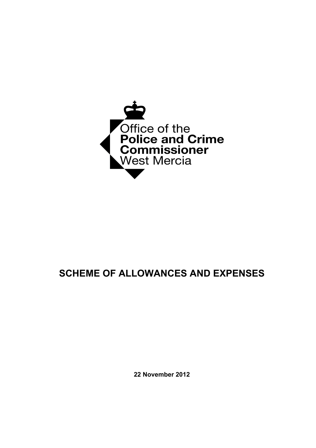

## **SCHEME OF ALLOWANCES AND EXPENSES**

**22 November 2012**